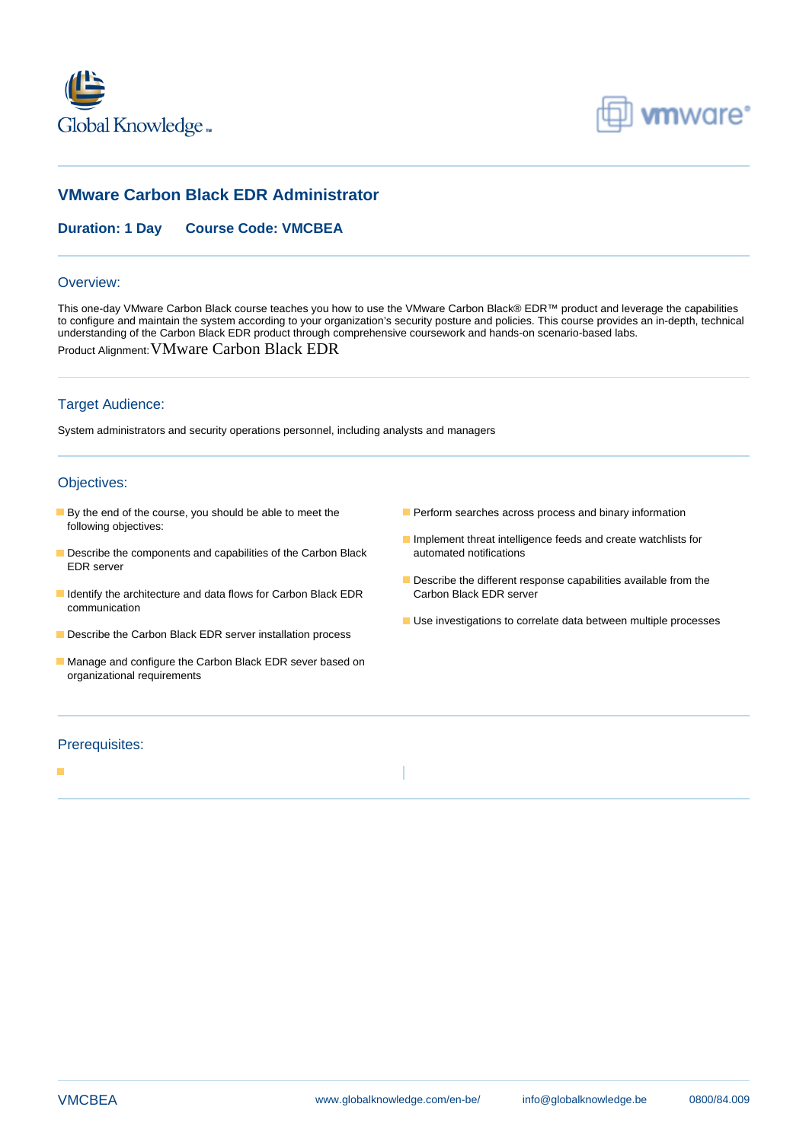



# **VMware Carbon Black EDR Administrator**

## **Duration: 1 Day Course Code: VMCBEA**

#### Overview:

This one-day VMware Carbon Black course teaches you how to use the VMware Carbon Black® EDR™ product and leverage the capabilities to configure and maintain the system according to your organization's security posture and policies. This course provides an in-depth, technical understanding of the Carbon Black EDR product through comprehensive coursework and hands-on scenario-based labs. Product Alignment:VMware Carbon Black EDR

### Target Audience:

System administrators and security operations personnel, including analysts and managers

### Objectives:

- **By the end of the course, you should be able to meet the Perform searches across process and binary information** following objectives:
- **Describe the components and capabilities of the Carbon Black automated notifications** EDR server
- Identify the architecture and data flows for Carbon Black EDR Carbon Black EDR server communication
- Describe the Carbon Black EDR server installation process
- Manage and configure the Carbon Black EDR sever based on organizational requirements
- 
- **Implement threat intelligence feeds and create watchlists for**
- Describe the different response capabilities available from the
- Use investigations to correlate data between multiple processes

#### Prerequisites:

п